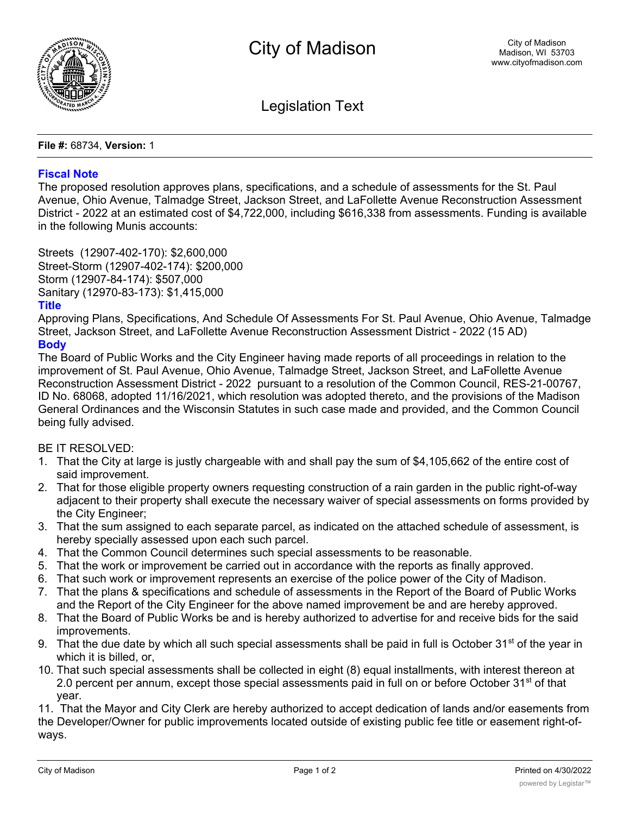

Legislation Text

**File #:** 68734, **Version:** 1

## **Fiscal Note**

The proposed resolution approves plans, specifications, and a schedule of assessments for the St. Paul Avenue, Ohio Avenue, Talmadge Street, Jackson Street, and LaFollette Avenue Reconstruction Assessment District - 2022 at an estimated cost of \$4,722,000, including \$616,338 from assessments. Funding is available in the following Munis accounts:

Streets (12907-402-170): \$2,600,000 Street-Storm (12907-402-174): \$200,000 Storm (12907-84-174): \$507,000 Sanitary (12970-83-173): \$1,415,000

## **Title**

Approving Plans, Specifications, And Schedule Of Assessments For St. Paul Avenue, Ohio Avenue, Talmadge Street, Jackson Street, and LaFollette Avenue Reconstruction Assessment District - 2022 (15 AD) **Body**

The Board of Public Works and the City Engineer having made reports of all proceedings in relation to the improvement of St. Paul Avenue, Ohio Avenue, Talmadge Street, Jackson Street, and LaFollette Avenue Reconstruction Assessment District - 2022 pursuant to a resolution of the Common Council, RES-21-00767, ID No. 68068, adopted 11/16/2021, which resolution was adopted thereto, and the provisions of the Madison General Ordinances and the Wisconsin Statutes in such case made and provided, and the Common Council being fully advised.

BE IT RESOLVED:

- 1. That the City at large is justly chargeable with and shall pay the sum of \$4,105,662 of the entire cost of said improvement.
- 2. That for those eligible property owners requesting construction of a rain garden in the public right-of-way adjacent to their property shall execute the necessary waiver of special assessments on forms provided by the City Engineer;
- 3. That the sum assigned to each separate parcel, as indicated on the attached schedule of assessment, is hereby specially assessed upon each such parcel.
- 4. That the Common Council determines such special assessments to be reasonable.
- 5. That the work or improvement be carried out in accordance with the reports as finally approved.
- 6. That such work or improvement represents an exercise of the police power of the City of Madison.
- 7. That the plans & specifications and schedule of assessments in the Report of the Board of Public Works and the Report of the City Engineer for the above named improvement be and are hereby approved.
- 8. That the Board of Public Works be and is hereby authorized to advertise for and receive bids for the said improvements.
- 9. That the due date by which all such special assessments shall be paid in full is October 31<sup>st</sup> of the year in which it is billed, or,
- 10. That such special assessments shall be collected in eight (8) equal installments, with interest thereon at 2.0 percent per annum, except those special assessments paid in full on or before October 31<sup>st</sup> of that year.

11. That the Mayor and City Clerk are hereby authorized to accept dedication of lands and/or easements from the Developer/Owner for public improvements located outside of existing public fee title or easement right-ofways.